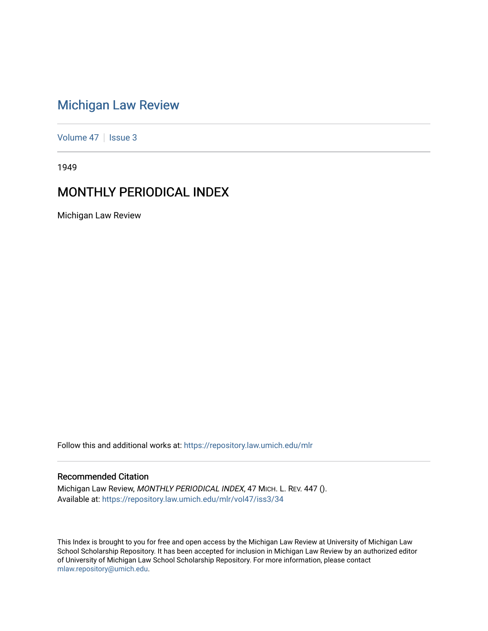# [Michigan Law Review](https://repository.law.umich.edu/mlr)

[Volume 47](https://repository.law.umich.edu/mlr/vol47) | [Issue 3](https://repository.law.umich.edu/mlr/vol47/iss3)

1949

# MONTHLY PERIODICAL INDEX

Michigan Law Review

Follow this and additional works at: [https://repository.law.umich.edu/mlr](https://repository.law.umich.edu/mlr?utm_source=repository.law.umich.edu%2Fmlr%2Fvol47%2Fiss3%2F34&utm_medium=PDF&utm_campaign=PDFCoverPages) 

# Recommended Citation

Michigan Law Review, MONTHLY PERIODICAL INDEX, 47 MICH. L. REV. 447 (). Available at: [https://repository.law.umich.edu/mlr/vol47/iss3/34](https://repository.law.umich.edu/mlr/vol47/iss3/34?utm_source=repository.law.umich.edu%2Fmlr%2Fvol47%2Fiss3%2F34&utm_medium=PDF&utm_campaign=PDFCoverPages) 

This Index is brought to you for free and open access by the Michigan Law Review at University of Michigan Law School Scholarship Repository. It has been accepted for inclusion in Michigan Law Review by an authorized editor of University of Michigan Law School Scholarship Repository. For more information, please contact [mlaw.repository@umich.edu.](mailto:mlaw.repository@umich.edu)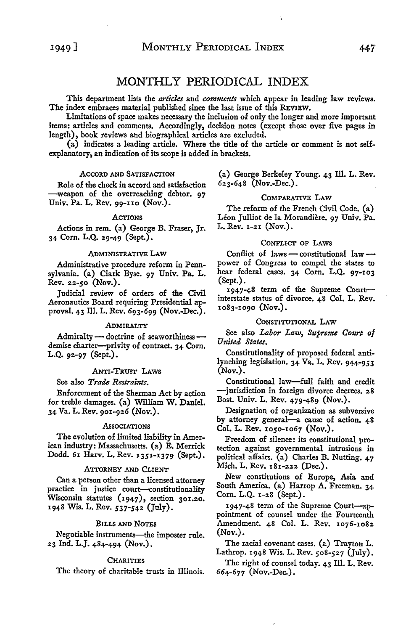## MONTHLY PERIODICAL INDEX

This department lists the *articles* and *comments* which appear in leading law reviews. The index embraces material published since the last issue of this REVIEW.

Limitations of space makes necessary the inclusion of only the longer and more important items: articles and comments. Accordingly, decision notes (except those over five pages in length), book reviews and biographical articles are excluded.

(a) indicates a leading article. Where the title of the article or comment is not selfexplanatory, an indication of its scope is added in brackets.

#### ACCORD AND SATISFAcrION

Role of the check in accord and satisfaction -weapon of the overreaching debtor. 97 Univ. Pa. L. Rev. 99-110 (Nov.).

#### AcrIONS

Actions in rem. (a) George B. Fraser, Jr. 34 Corn. L.Q. 29-49 (Sept.).

#### ADMINISTRATIVE LAW

Administrative procedure reform in Pennsylvania. (a) Clark Byse. 97 Univ. Pa. L. Rev. *22-50* (Nov.).

Judicial review of orders of the Civil Aeronautics Board requiring Presidential approval. 43 Ill. L. Rev. 693-699 (Nov.-Dec.).

#### ADMIRALTY

Admiralty - doctrine of seaworthiness demise charter-privity of contract. 34 Corn. L.Q. 92-97 (Sept.).

## ANTI-TRUST LAWS

See also *Trade Restraints.* 

Enforcement of the Sherman Act by action for treble damages. (a) William W. Daniel. 34 Va. L.Rev. 901-926 (Nov.).

## **Associations**

The evolution of limited liability in American industry: Massachusetts. (a) E. Merrick Dodd. 61 Harv. L. Rev. 1351-1379 (Sept.).

## ATTORNEY AND CLIENT

Can a person other than a licensed attorney practice in justice court--constitutionality Wisconsin statutes  $(1947)$ , section 301.20. 1948 Wis. L. Rev. *537-542* (July).

## BILLS AND NOTES

Negotiable instruments-the imposter rule. 23 Ind. L.J. 484-494 (Nov.).

## **CHARITIES**

The theory of charitable trusts in Illinois.

(a) George Berkeley Young. 43 Ill. L. Rev. 623-648 (Nov.-Dec.).

## COMPARATIVE LAW

The reform of the French Civil Code. (a) Léon Julliot de la Morandière. 97 Univ. Pa. L. Rev. 1-21 (Nov.).

## CONFLICT OF LAWS

Conflict of laws - constitutional law  $$ power of Congress to compel the states to hear federal cases. 34 Corn. L.Q. 97-103 (Sept.).

1947-48 term of the Supreme Courtinterstate status of divorce. 48 Col. L. Rev. 1083-1090 (Nov.).

## CONSTITUTIONAL LAW

See also *Labor Law, Supreme Court of United States.* 

Constitutionality of proposed federal antilynching legislation. 34 Va. L. Rev. 944-953 (Nov.).

Constitutional law-full faith and credit -jurisdiction in foreign divorce decrees. 28 Bost. Univ. L. Rev. 479-489 (Nov.).

Designation of organization as subversive by attorney general-a cause of action. 48 Col. L. Rev. 1050-1067 (Nov.).

Freedom of silence: its constitutional protection against governmental intrusions in political affairs. (a) Charles B. Nutting. 47 Mich. L. Rev. 181-222 (Dec.).

New constitutions of Europe, Asia and South America. (a) Harrop A. Freeman. 34 Corn. L.Q. 1-28 (Sept.).

1947-48 term of the Supreme Court--appointment of counsel under the Fourteenth Amendment. 48 Col. L. Rev. 1076-1082 (Nov.).

The racial covenant cases. (a) Trayton L. Lathrop. 1948 Wis. L. Rev. *508-527* (July).

The right of counsel today. 43 Ill. L. Rev. 664-677 (Nov.-Dec.).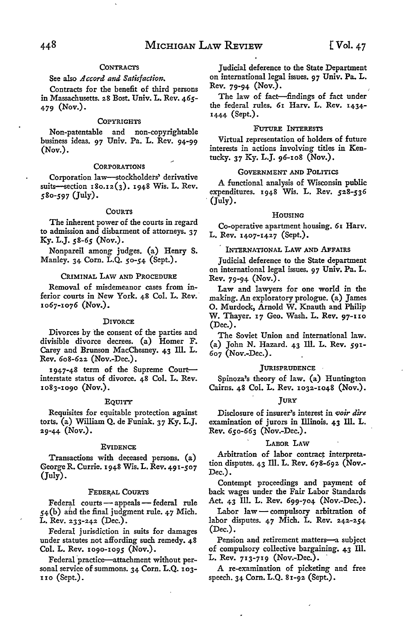## **CONTRACTS**

## See also *Accord and Satisfaction*.

Contracts for the benefit of third persons in Massachusetts. 28 Bost. Univ. L. Rev. 465- 479 (Nov.).

#### **COPYRIGHTS**

Non-patentable and non-copyrightable business ideas. 97 Univ. Pa. L. Rev. 94-99 (Nov.).

#### **CORPORATIONS**

Corporation law-stockholders' derivative suits-section 180.12(3). 1948 Wis. L. Rev. 580-597 (July).

## **COURTS**

The inherent power of the courts in regard to admission and disbarment of attorneys. 37 Ky. L.J. *58-65* (Nov.).

Nonpareil among judges. (a) Henry S. Manley. 34 Corn. L.Q. 50-54 (Sept.).

## CRIMINAL LAW AND PROCEDURE

Removal of misdemeanor cases from inferior courts in New York. 48 Col. L. Rev. 1067-1076 (Nov.).

#### **DIVORCE**

Divorces by the consent of the parties and divisible divorce decrees. (a) Homer F. Carey and Brunson MacChesney. 43 Ill. L. Rev. 608-622 (Nov.-Dec.).

1947-48 term of the Supreme Courtinterstate status of divorce. 48 Col. L. Rev. 1083-1090 (Nov.).

#### EQUITY

Requisites for equitable protection against torts. (a) William Q. de Funiak. 37 Ky. L.J. 29-44 (Nov.).

#### **EVIDENCE**

Transactions with deceased persons. (a) George R. Currie. 1948 Wis. L. Rev. 491-507 (July).

#### FEDERAL COURTS

Federal courts - appeals - federal rule  $54(b)$  and the final judgment rule. 47 Mich. L. Rev. 233-242 (Dec.).

Federal jurisdiction in suits for damages under statutes not affording such remedy. 48 Col. L. Rev. 1090-1095 (Nov.).

Federal practice-attachment without personal service of summons. 34 Corn. L.Q. 103- IIO (Sept.).

Judicial deference to the State Department on international legal issues. 97 Univ. Pa. L. Rev. 79-94 (Nov.).

The law of fact-findings of fact under the federal rules. 61 Harv. L. Rev. 1434- 1444 (Sept.).

## FuTURE INTERESTS

Virtual representation of holders of future interests in actions involving titles in Kentucky. 37 Ky. L.J. 96-108 (Nov.).

#### GOVERNMENT AND POLITICS

A functional analysis of Wisconsin public expenditures. 1948 Wis. L. Rev. *528-536*   $(\text{July}).$ 

## HOUSING

Co-operative apartment housing. 61 Harv. L. Rev. 1407-1427 (Sept.).

## INTERNATIONAL LAW AND AFFAIRS

Judicial deference to the State department on international legal issues. 97 Univ. Pa. L. Rev. 79-94 (Nov.).

Law and lawyers for one world in the making. An exploratory prologue. (a) James O. Murdock, Arnold W. Knauth and Philip W. Thayer. 17 Geo. Wash. L. Rev. 97-110 (Dec.).

The Soviet Union and international law. (a) John N. Hazard. 43 Ill. L. Rev. 591- 607 (Nov.-Dec.).

## **JURISPRUDENCE**

Spinoza's theory of law. (a) Huntington Cairns. 48 Col. L. Rev. 1032-1048 (Nov.).

#### **JURY**

Disclosure of insurer's interest in *~oir dire*  examination of jurors in Illinois. 43 Ill. L. Rev. 650-663 (Nov.-Dec.).

#### LABOR LAW

Arbitration of labor contract interpretation disputes. 43 Ill. L. Rev. 678-692 (Nov.- Dec.).

Contempt proceedings and payment of back wages under the Fair Labor Standards Act. 43 Ill. L. Rev. 699-704 (Nov.-Dec.).

 ${\rm Labor\,}$  law — compulsory arbitration of labor disputes. 47 Mich. L. **Rev.** 242-254 (Dec.).

Pension and retirement matters-a subject of compulsory collective bargaining. 43 Ill. L. Rev. 713-719 (Nov.-Dec.).

A re-examination of picketing and free speech. 34 Corn. L.Q. 81-92 (Sept.).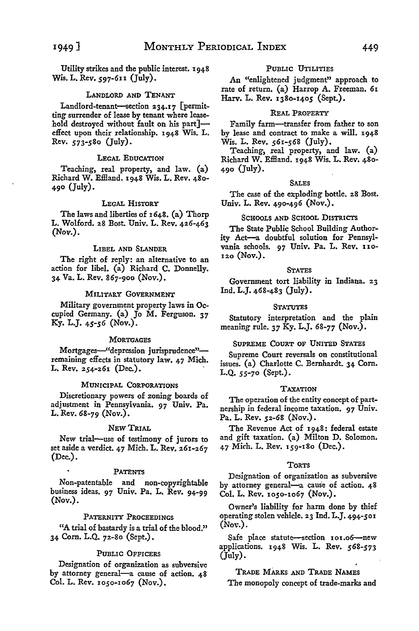Utility strikes and the public interest. 1948 Wis. L. Rev. 597-611 (July).

## LANDLORD AND TENANT

Landlord-tenant-section 234.17 [permitting surrender of lease by tenant where leasehold destroyed without fault on his part]effect upon their relationship. 1948 Wis. L. Rev. *573-580* (July).

#### LEGAL EDUCATION

Teaching, real property, and law. (a) Richard W. Efiland. 1948 Wis. L. Rev. 480- 490 (July).

## LEGAL HISTORY

The laws and liberties of 1648. (a) Thorp L. Wolford. 28 Bost. Univ. L. Rev. 426-463 (Nov.).

## LIBEL AND SLANDER

The right of reply: an alternative to an action for libel. (a) Richard C. Donnelly. 34 Va. L. Rev. 867-900 (Nov.).

## MILITARY GoVERNMENT

Military government property laws in Occupied Germany. (a) Jo M. Ferguson. 37 Ky. L.J. *45-56* (Nov.).

#### **MORTGAGES**

Mortgages-"depression jurisprudence"remaining effects in statutory law. 47 Mich. L. Rev. 254-261 (Dec.).

## MUNICIPAL CORPORATIONS

Discretionary powers of zoning boards of adjustment in Pennsylvania. 97 Univ. Pa. L. Rev. 68-79 (Nov.).

## NEW TRIAL

New trial-use of testimony of jurors to set aside a verdict. 47 Mich. L. Rev. 261-267 (Dec.).

#### PATENTS

Non-patentable and non-copyrightable business ideas. 97 Univ. Pa. L. Rev. 94-99 (Nov.).

## PATERNITY PROCEEDINGS

"A trial of bastardy is a trial of the blood." 34 Corn. L.Q. 72-80 (Sept.).

## PUBLIC OFFICERS

Designation of organization as subversive by attorney general-a cause of action. 48 Col. L. Rev. 1050-1067 (Nov.).

## PUBLIC UTILITIES

An "enlightened judgment" approach to rate of return. (a) Harrop A. Freeman. 61 Harv. L. Rev. 1380-1405 (Sept.).

## REAL PROPERTY

Family farm-transfer from father to son by lease and contract to make a will. 1948 Wis. L. Rev. 561-568 (July).

Teaching, real property, and law. (a) Richard W. Effland. 1948 Wis. L. Rev. 480-490 (July).

## SALES

The case of the exploding bottle. 28 Bost. Univ. L. Rev. 490-496 (Nov.).

## SCHOOLS AND SCHOOL DISTRicrs

The State Public School Building Authority Act-a doubtful solution for Pennsylvania schools. 97 Univ. Pa. L. Rev. no-120 (Nov.).

## **STATES**

Government tort liability in Indiana. 23 Ind. L.J. 468-483 (July).

#### **STATUTES**

Statutory interpretation and the plain meaning rule. *37* Ky. L.J. 68-77 (Nov.).

## SUPREME COURT OF UNITED STATES

Supreme Court reversals on constitutional issues. (a) Charlotte C. Bernhardt. 34 Corn. L.Q. *55-70* (Sept.).

#### **TAXATION**

The operation of the entity concept of partnership in federal income taxation. 97 Univ. Pa. L. Rev. 52-68 (Nov.).

The Revenue Act of 1948: federal estate and gift taxation. (a) Milton D. Solomon. 47 Mich. L. Rev. 159-180 (Dec.).

#### TORTS

Designation of organization as subversive by attorney general-a cause of action. 48 Col. L. Rev. 1050-1067 (Nov.).

Owner's liability for harm done by thief operating stolen vehicle. 23 Ind. L.J. 494-501  $(Nor.)$ .

Safe place statute-section 101.06-new applications. 1948 Wis. L. Rev. *568-573*   $(\text{July}).$ 

TRADE MARKS AND TRADE NAMES The monopoly concept of trade-marks and